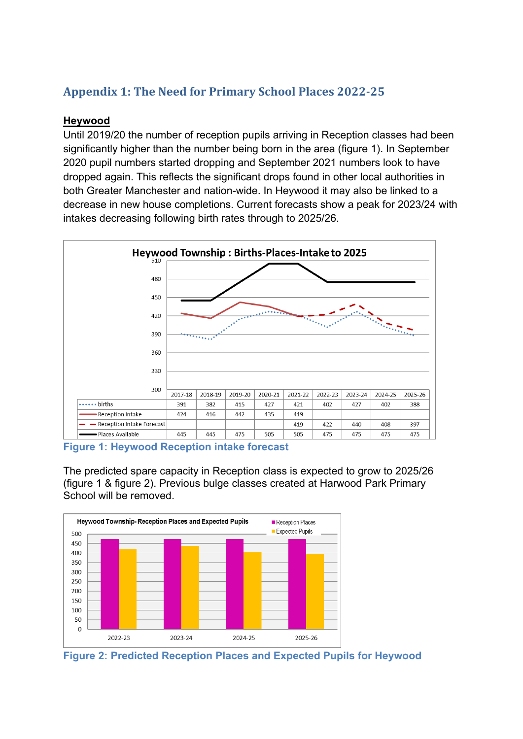# **Appendix 1: The Need for Primary School Places 2022-25**

#### **Heywood**

Until 2019/20 the number of reception pupils arriving in Reception classes had been significantly higher than the number being born in the area (figure 1). In September 2020 pupil numbers started dropping and September 2021 numbers look to have dropped again. This reflects the significant drops found in other local authorities in both Greater Manchester and nation-wide. In Heywood it may also be linked to a decrease in new house completions. Current forecasts show a peak for 2023/24 with intakes decreasing following birth rates through to 2025/26.



**Figure 1: Heywood Reception intake forecast**

The predicted spare capacity in Reception class is expected to grow to 2025/26 (figure 1 & figure 2). Previous bulge classes created at Harwood Park Primary School will be removed.



**Figure 2: Predicted Reception Places and Expected Pupils for Heywood**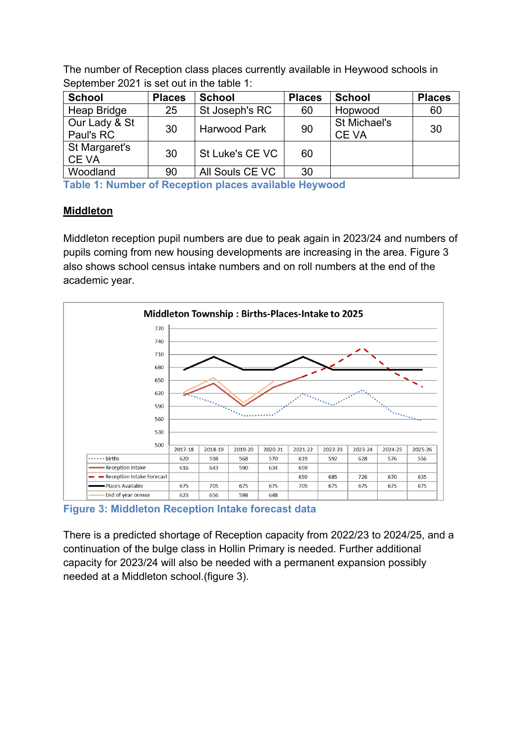The number of Reception class places currently available in Heywood schools in September 2021 is set out in the table 1:

| <b>School</b>                | <b>Places</b> | <b>School</b>       | <b>Places</b> | <b>School</b>               | <b>Places</b> |
|------------------------------|---------------|---------------------|---------------|-----------------------------|---------------|
| <b>Heap Bridge</b>           | 25            | St Joseph's RC      | 60            | Hopwood                     | 60            |
| Our Lady & St<br>Paul's RC   | 30            | <b>Harwood Park</b> | 90            | St Michael's<br><b>CEVA</b> | 30            |
| St Margaret's<br><b>CEVA</b> | 30            | St Luke's CE VC     | 60            |                             |               |
| Woodland                     | 90            | All Souls CE VC     | 30            |                             |               |

**Table 1: Number of Reception places available Heywood**

# **Middleton**

Middleton reception pupil numbers are due to peak again in 2023/24 and numbers of pupils coming from new housing developments are increasing in the area. Figure 3 also shows school census intake numbers and on roll numbers at the end of the academic year.



**Figure 3: Middleton Reception Intake forecast data**

There is a predicted shortage of Reception capacity from 2022/23 to 2024/25, and a continuation of the bulge class in Hollin Primary is needed. Further additional capacity for 2023/24 will also be needed with a permanent expansion possibly needed at a Middleton school.(figure 3).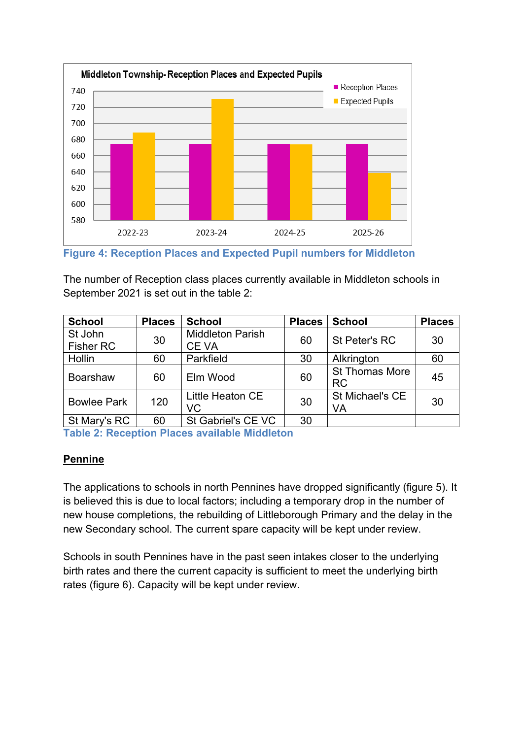

**Figure 4: Reception Places and Expected Pupil numbers for Middleton**

The number of Reception class places currently available in Middleton schools in September 2021 is set out in the table 2:

| <b>School</b>               | <b>Places</b> | <b>School</b>                    | <b>Places</b> | <b>School</b>                      | <b>Places</b> |
|-----------------------------|---------------|----------------------------------|---------------|------------------------------------|---------------|
| St John<br><b>Fisher RC</b> | 30            | <b>Middleton Parish</b><br>CE VA | 60            | St Peter's RC                      | 30            |
| Hollin                      | 60            | Parkfield                        | 30            | Alkrington                         | 60            |
| <b>Boarshaw</b>             | 60            | Elm Wood                         | 60            | <b>St Thomas More</b><br><b>RC</b> | 45            |
| <b>Bowlee Park</b>          | 120           | Little Heaton CE<br>VC           | 30            | St Michael's CE<br>VA              | 30            |
| St Mary's RC                | 60            | St Gabriel's CE VC               | 30            |                                    |               |

**Table 2: Reception Places available Middleton**

### **Pennine**

The applications to schools in north Pennines have dropped significantly (figure 5). It is believed this is due to local factors; including a temporary drop in the number of new house completions, the rebuilding of Littleborough Primary and the delay in the new Secondary school. The current spare capacity will be kept under review.

Schools in south Pennines have in the past seen intakes closer to the underlying birth rates and there the current capacity is sufficient to meet the underlying birth rates (figure 6). Capacity will be kept under review.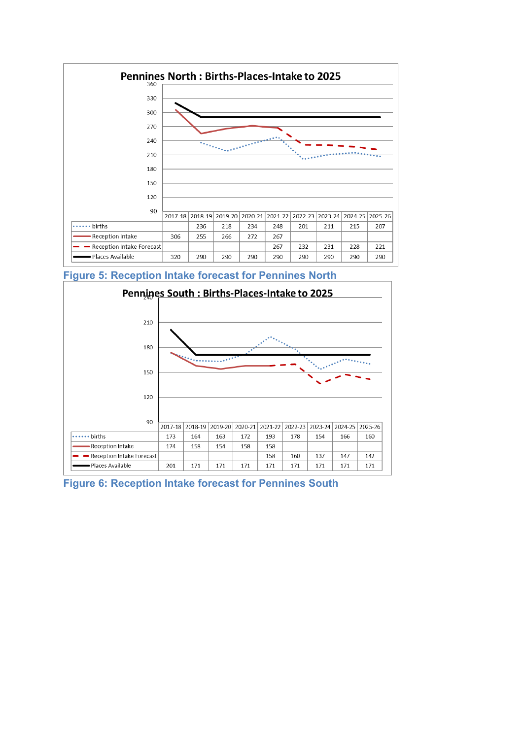

**Figure 5: Reception Intake forecast for Pennines North**



**Figure 6: Reception Intake forecast for Pennines South**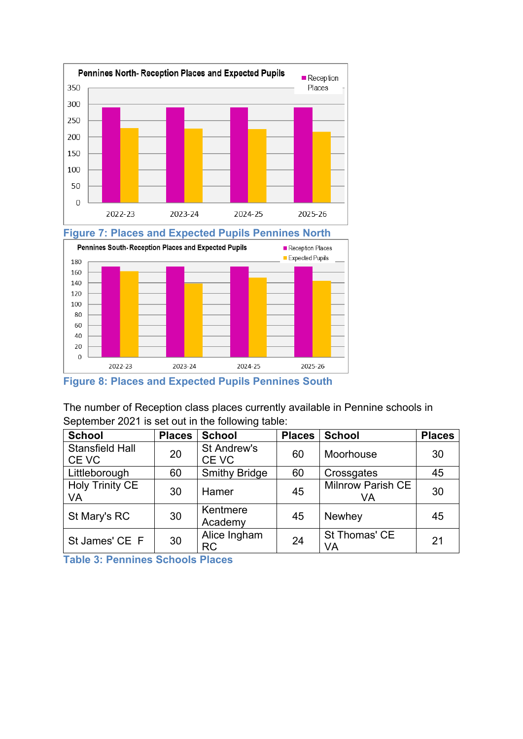



**Figure 8: Places and Expected Pupils Pennines South**

The number of Reception class places currently available in Pennine schools in September 2021 is set out in the following table:

| <b>School</b>                   | <b>Places</b> | <b>School</b>             | <b>Places</b> | <b>School</b>                  | <b>Places</b> |
|---------------------------------|---------------|---------------------------|---------------|--------------------------------|---------------|
| <b>Stansfield Hall</b><br>CE VC | 20            | St Andrew's<br>CE VC      | 60            | Moorhouse                      | 30            |
| Littleborough                   | 60            | <b>Smithy Bridge</b>      | 60            | Crossgates                     | 45            |
| <b>Holy Trinity CE</b><br>VA    | 30            | Hamer                     | 45            | <b>Milnrow Parish CE</b><br>VA | 30            |
| St Mary's RC                    | 30            | Kentmere<br>Academy       | 45            | Newhey                         | 45            |
| St James' CE F                  | 30            | Alice Ingham<br><b>RC</b> | 24            | St Thomas' CE<br>VA            | 21            |

**Table 3: Pennines Schools Places**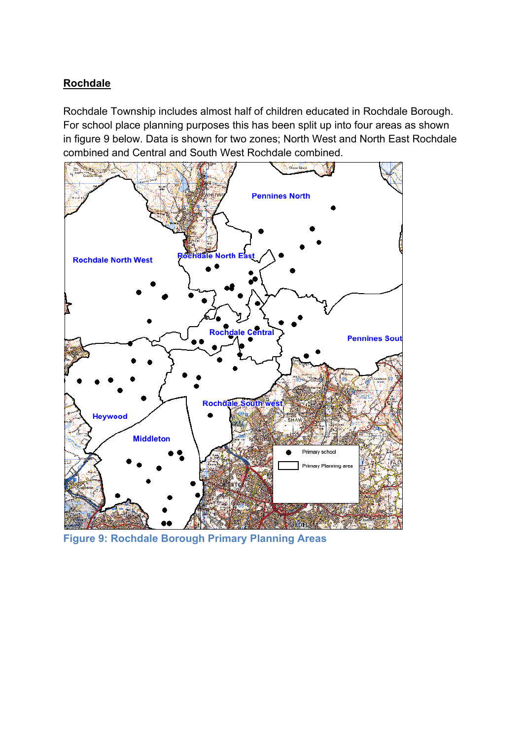## **Rochdale**

Rochdale Township includes almost half of children educated in Rochdale Borough. For school place planning purposes this has been split up into four areas as shown in figure 9 below. Data is shown for two zones; North West and North East Rochdale combined and Central and South West Rochdale combined.



**Figure 9: Rochdale Borough Primary Planning Areas**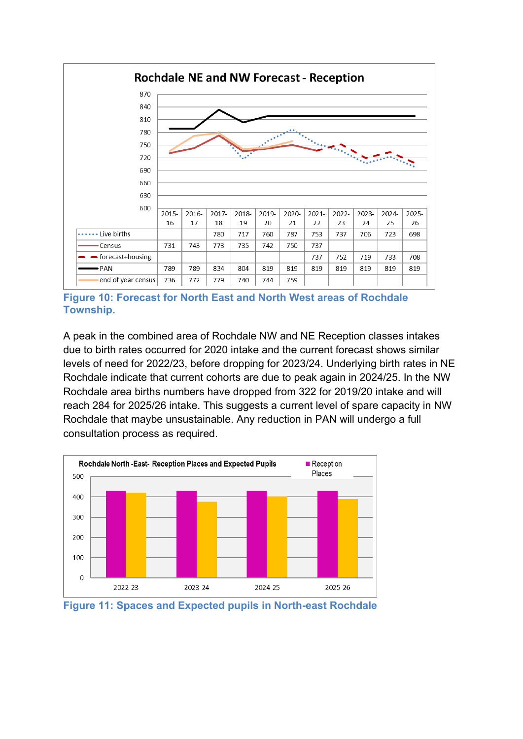

**Figure 10: Forecast for North East and North West areas of Rochdale Township.**

A peak in the combined area of Rochdale NW and NE Reception classes intakes due to birth rates occurred for 2020 intake and the current forecast shows similar levels of need for 2022/23, before dropping for 2023/24. Underlying birth rates in NE Rochdale indicate that current cohorts are due to peak again in 2024/25. In the NW Rochdale area births numbers have dropped from 322 for 2019/20 intake and will reach 284 for 2025/26 intake. This suggests a current level of spare capacity in NW Rochdale that maybe unsustainable. Any reduction in PAN will undergo a full consultation process as required.



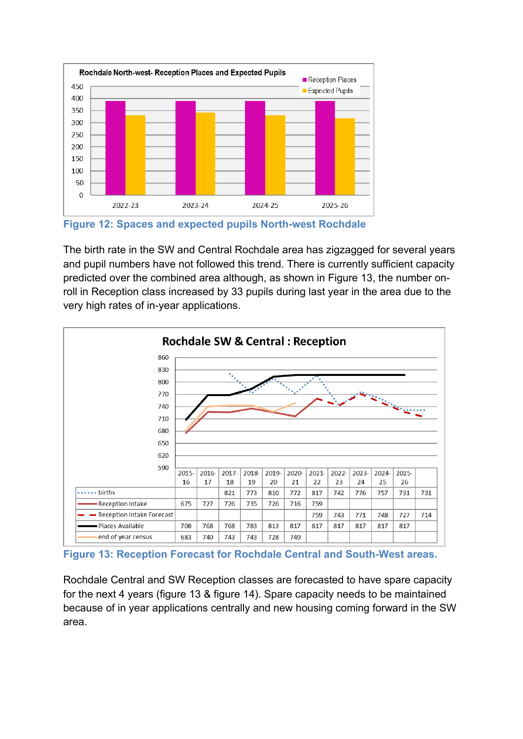

**Figure 12: Spaces and expected pupils North-west Rochdale**

The birth rate in the SW and Central Rochdale area has zigzagged for several years and pupil numbers have not followed this trend. There is currently sufficient capacity predicted over the combined area although, as shown in Figure 13, the number onroll in Reception class increased by 33 pupils during last year in the area due to the very high rates of in-year applications.



**Figure 13: Reception Forecast for Rochdale Central and South-West areas.**

Rochdale Central and SW Reception classes are forecasted to have spare capacity for the next 4 years (figure 13 & figure 14). Spare capacity needs to be maintained because of in year applications centrally and new housing coming forward in the SW area.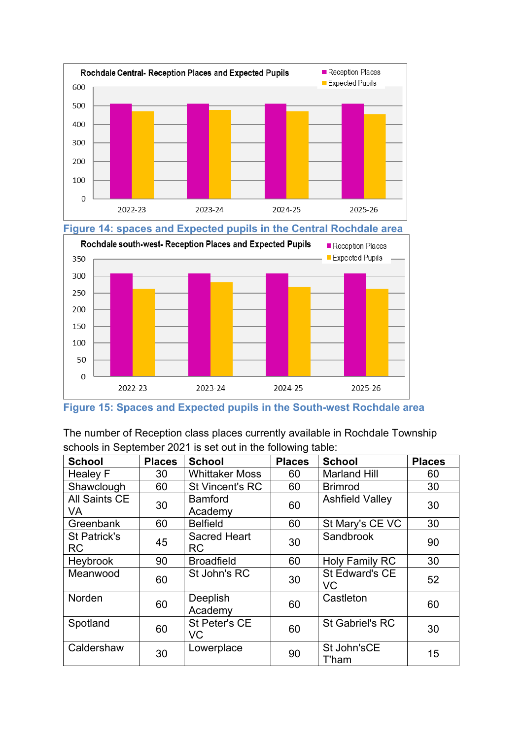



**Figure 15: Spaces and Expected pupils in the South-west Rochdale area**

The number of Reception class places currently available in Rochdale Township schools in September 2021 is set out in the following table:

| <b>School</b>                    | <b>Places</b> | <b>School</b>                    | <b>Places</b> | <b>School</b>          | <b>Places</b> |
|----------------------------------|---------------|----------------------------------|---------------|------------------------|---------------|
| <b>Healey F</b>                  | 30            | <b>Whittaker Moss</b>            | 60            | <b>Marland Hill</b>    | 60            |
| Shawclough                       | 60            | <b>St Vincent's RC</b>           | 60            | <b>Brimrod</b>         | 30            |
| All Saints CE<br>VA              | 30            | <b>Bamford</b><br>Academy        | 60            | <b>Ashfield Valley</b> | 30            |
| Greenbank                        | 60            | <b>Belfield</b>                  | 60            | St Mary's CE VC        | 30            |
| <b>St Patrick's</b><br><b>RC</b> | 45            | <b>Sacred Heart</b><br><b>RC</b> | 30            | Sandbrook              | 90            |
| Heybrook                         | 90            | <b>Broadfield</b>                | 60            | Holy Family RC         | 30            |
| Meanwood                         | 60            | St John's RC                     | 30            | St Edward's CE<br>VC   | 52            |
| Norden                           | 60            | Deeplish<br>Academy              | 60            | Castleton              | 60            |
| Spotland                         | 60            | St Peter's CE<br>VC              | 60            | <b>St Gabriel's RC</b> | 30            |
| Caldershaw                       | 30            | Lowerplace                       | 90            | St John'sCE<br>T'ham   | 15            |